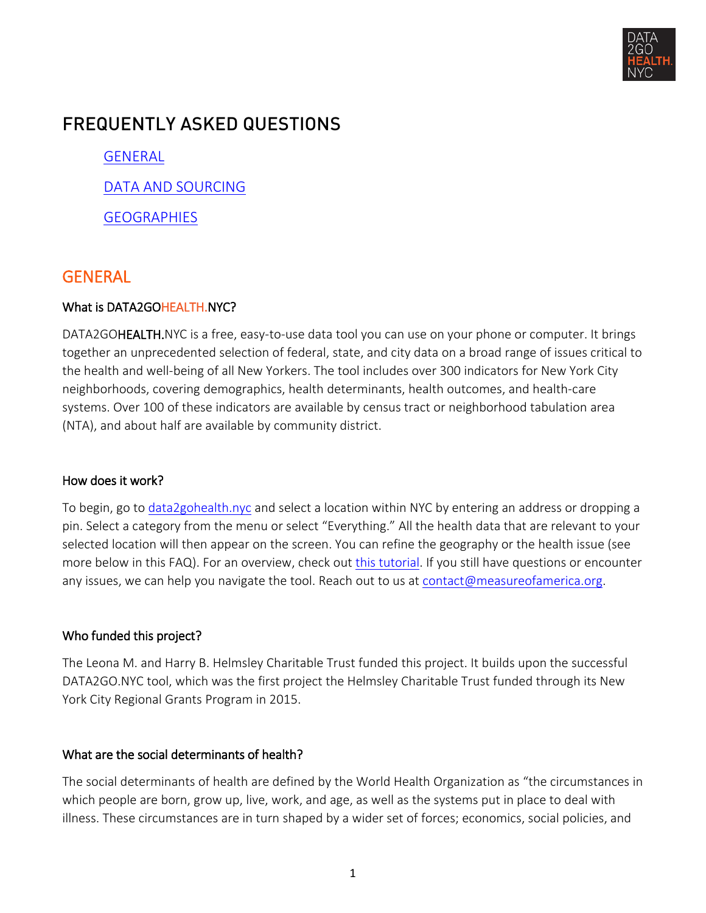

# FREQUENTLY ASKED QUESTIONS

[GENERAL](#page-0-0)

[DATA AND SOURCING](#page-5-0)

**[GEOGRAPHIES](#page-6-0)** 

## <span id="page-0-0"></span>**GENERAL**

## What is DATA2GOHEALTH.NYC?

DATA2GOHEALTH.NYC is a free, easy-to-use data tool you can use on your phone or computer. It brings together an unprecedented selection of federal, state, and city data on a broad range of issues critical to the health and well-being of all New Yorkers. The tool includes over 300 indicators for New York City neighborhoods, covering demographics, health determinants, health outcomes, and health-care systems. Over 100 of these indicators are available by census tract or neighborhood tabulation area (NTA), and about half are available by community district.

## How does it work?

To begin, go to [data2gohealth.nyc](http://www.data2gohealth.nyc/) and select a location within NYC by entering an address or dropping a pin. Select a category from the menu or select "Everything." All the health data that are relevant to your selected location will then appear on the screen. You can refine the geography or the health issue (see more below in this FAQ). For an overview, check out [this tutorial.](http://data2gohealth.nyc/tutorial) If you still have questions or encounter any issues, we can help you navigate the tool. Reach out to us at [contact@measureofamerica.org.](mailto:contact@measureofamerica.org)

## Who funded this project?

The Leona M. and Harry B. Helmsley Charitable Trust funded this project. It builds upon the successful DATA2GO.NYC tool, which was the first project the Helmsley Charitable Trust funded through its New York City Regional Grants Program in 2015.

## What are the social determinants of health?

The social determinants of health are defined by the World Health Organization as "the circumstances in which people are born, grow up, live, work, and age, as well as the systems put in place to deal with illness. These circumstances are in turn shaped by a wider set of forces; economics, social policies, and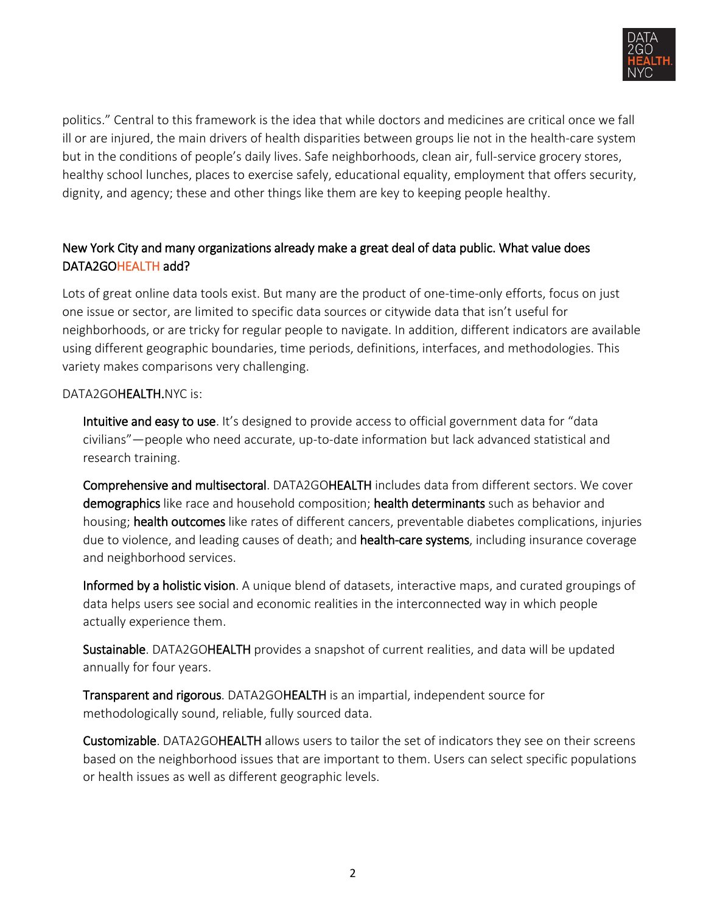

politics." Central to this framework is the idea that while doctors and medicines are critical once we fall ill or are injured, the main drivers of health disparities between groups lie not in the health-care system but in the conditions of people's daily lives. Safe neighborhoods, clean air, full-service grocery stores, healthy school lunches, places to exercise safely, educational equality, employment that offers security, dignity, and agency; these and other things like them are key to keeping people healthy.

## New York City and many organizations already make a great deal of data public. What value does DATA2GOHEALTH add?

Lots of great online data tools exist. But many are the product of one-time-only efforts, focus on just one issue or sector, are limited to specific data sources or citywide data that isn't useful for neighborhoods, or are tricky for regular people to navigate. In addition, different indicators are available using different geographic boundaries, time periods, definitions, interfaces, and methodologies. This variety makes comparisons very challenging.

### DATA2GOHEALTH.NYC is:

Intuitive and easy to use. It's designed to provide access to official government data for "data civilians"—people who need accurate, up-to-date information but lack advanced statistical and research training.

Comprehensive and multisectoral. DATA2GOHEALTH includes data from different sectors. We cover demographics like race and household composition; health determinants such as behavior and housing; health outcomes like rates of different cancers, preventable diabetes complications, injuries due to violence, and leading causes of death; and **health-care systems**, including insurance coverage and neighborhood services.

Informed by a holistic vision. A unique blend of datasets, interactive maps, and curated groupings of data helps users see social and economic realities in the interconnected way in which people actually experience them.

Sustainable. DATA2GOHEALTH provides a snapshot of current realities, and data will be updated annually for four years.

Transparent and rigorous. DATA2GOHEALTH is an impartial, independent source for methodologically sound, reliable, fully sourced data.

Customizable. DATA2GOHEALTH allows users to tailor the set of indicators they see on their screens based on the neighborhood issues that are important to them. Users can select specific populations or health issues as well as different geographic levels.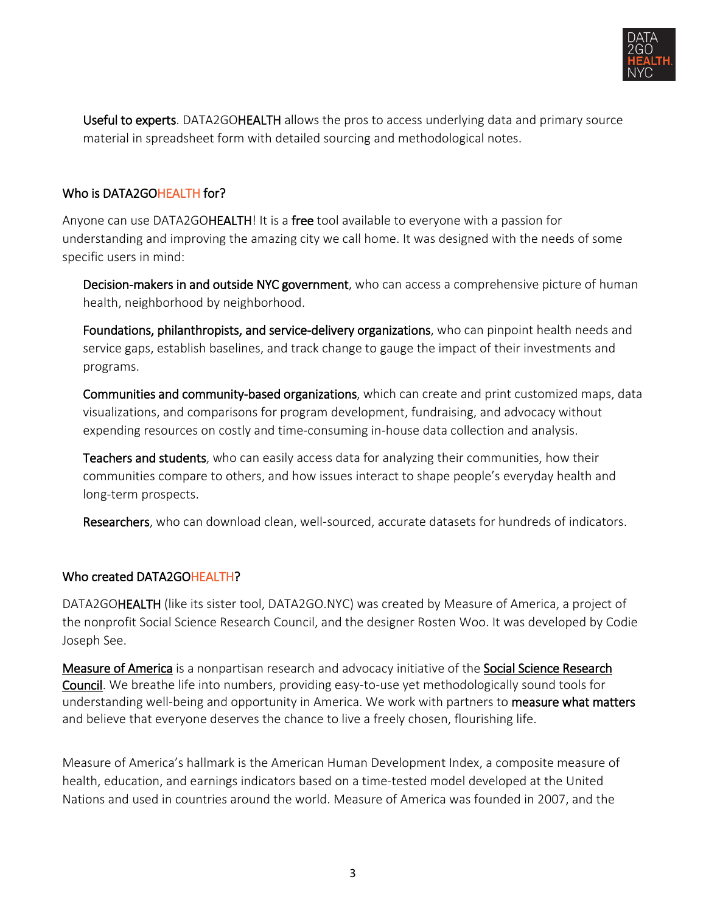

Useful to experts. DATA2GOHEALTH allows the pros to access underlying data and primary source material in spreadsheet form with detailed sourcing and methodological notes.

## Who is DATA2GOHEALTH for?

Anyone can use DATA2GOHEALTH! It is a free tool available to everyone with a passion for understanding and improving the amazing city we call home. It was designed with the needs of some specific users in mind:

Decision-makers in and outside NYC government, who can access a comprehensive picture of human health, neighborhood by neighborhood.

Foundations, philanthropists, and service-delivery organizations, who can pinpoint health needs and service gaps, establish baselines, and track change to gauge the impact of their investments and programs.

Communities and community-based organizations, which can create and print customized maps, data visualizations, and comparisons for program development, fundraising, and advocacy without expending resources on costly and time-consuming in-house data collection and analysis.

**Teachers and students**, who can easily access data for analyzing their communities, how their communities compare to others, and how issues interact to shape people's everyday health and long-term prospects.

Researchers, who can download clean, well-sourced, accurate datasets for hundreds of indicators.

## Who created DATA2GOHEALTH?

DATA2GOHEALTH (like its sister tool, DATA2GO.NYC) was created by Measure of America, a project of the nonprofit Social Science Research Council, and the designer Rosten Woo. It was developed by Codie Joseph See.

[Measure of America](http://www.measureofamerica.org/) is a nonpartisan research and advocacy initiative of the [Social Science Research](http://www.ssrc.org/)  [Council.](http://www.ssrc.org/) We breathe life into numbers, providing easy-to-use yet methodologically sound tools for understanding well-being and opportunity in America. We work with partners to **measure what matters** and believe that everyone deserves the chance to live a freely chosen, flourishing life.

Measure of America's hallmark is the American Human Development Index, a composite measure of health, education, and earnings indicators based on a time-tested model developed at the United Nations and used in countries around the world. Measure of America was founded in 2007, and the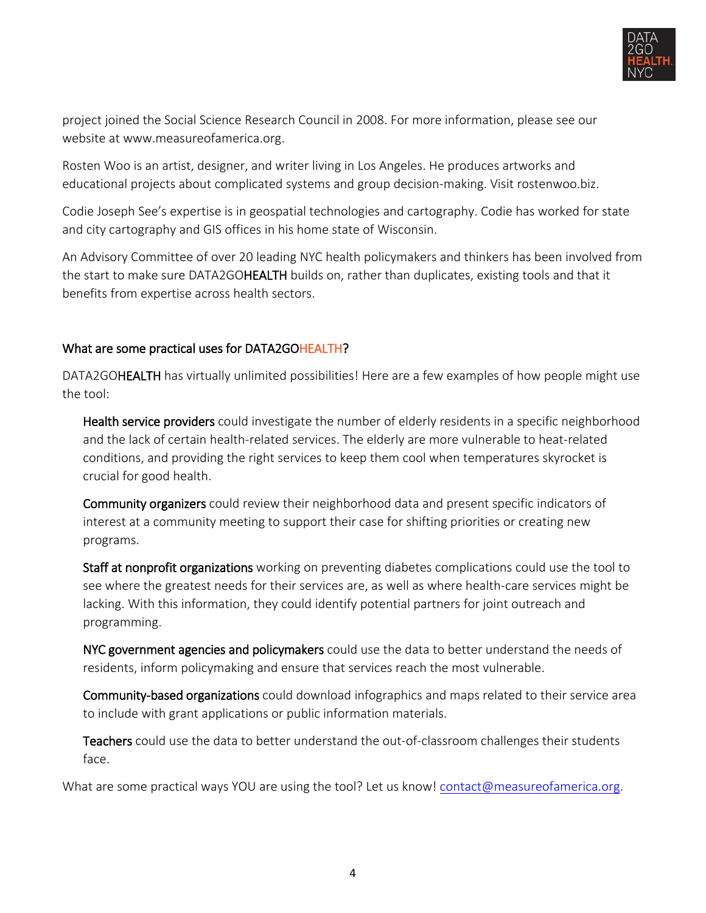

project joined the Social Science Research Council in 2008. For more information, please see our website at www.measureofamerica.org.

Rosten Woo is an artist, designer, and writer living in Los Angeles. He produces artworks and educational projects about complicated systems and group decision-making. Visit rostenwoo.biz.

Codie Joseph See's expertise is in geospatial technologies and cartography. Codie has worked for state and city cartography and GIS offices in his home state of Wisconsin.

An Advisory Committee of over 20 leading NYC health policymakers and thinkers has been involved from the start to make sure DATA2GOHEALTH builds on, rather than duplicates, existing tools and that it benefits from expertise across health sectors.

## What are some practical uses for DATA2GOHEALTH?

DATA2GOHEALTH has virtually unlimited possibilities! Here are a few examples of how people might use the tool:

Health service providers could investigate the number of elderly residents in a specific neighborhood and the lack of certain health-related services. The elderly are more vulnerable to heat-related conditions, and providing the right services to keep them cool when temperatures skyrocket is crucial for good health.

Community organizers could review their neighborhood data and present specific indicators of interest at a community meeting to support their case for shifting priorities or creating new programs.

Staff at nonprofit organizations working on preventing diabetes complications could use the tool to see where the greatest needs for their services are, as well as where health-care services might be lacking. With this information, they could identify potential partners for joint outreach and programming.

NYC government agencies and policymakers could use the data to better understand the needs of residents, inform policymaking and ensure that services reach the most vulnerable.

Community-based organizations could download infographics and maps related to their service area to include with grant applications or public information materials.

Teachers could use the data to better understand the out-of-classroom challenges their students face.

What are some practical ways YOU are using the tool? Let us know! [contact@measureofamerica.org.](mailto:contact@measureofamerica.org)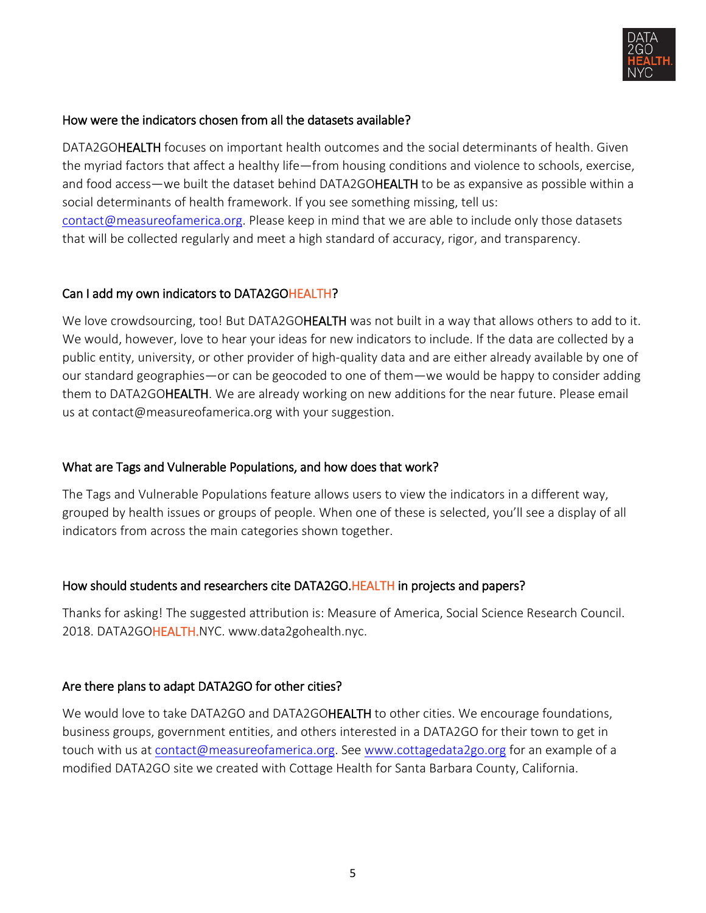

## How were the indicators chosen from all the datasets available?

DATA2GOHEALTH focuses on important health outcomes and the social determinants of health. Given the myriad factors that affect a healthy life—from housing conditions and violence to schools, exercise, and food access—we built the dataset behind DATA2GOHEALTH to be as expansive as possible within a social determinants of health framework. If you see something missing, tell us: [contact@measureofamerica.org.](mailto:contact@measureofamerica.org?subject=DATA2GOHEALTH%20) Please keep in mind that we are able to include only those datasets that will be collected regularly and meet a high standard of accuracy, rigor, and transparency.

#### Can I add my own indicators to DATA2GOHEALTH?

We love crowdsourcing, too! But DATA2GOHEALTH was not built in a way that allows others to add to it. We would, however, love to hear your ideas for new indicators to include. If the data are collected by a public entity, university, or other provider of high-quality data and are either already available by one of our standard geographies—or can be geocoded to one of them—we would be happy to consider adding them to DATA2GOHEALTH. We are already working on new additions for the near future. Please email us at contact@measureofamerica.org with your suggestion.

#### What are Tags and Vulnerable Populations, and how does that work?

The Tags and Vulnerable Populations feature allows users to view the indicators in a different way, grouped by health issues or groups of people. When one of these is selected, you'll see a display of all indicators from across the main categories shown together.

#### How should students and researchers cite DATA2GO.HEALTH in projects and papers?

Thanks for asking! The suggested attribution is: Measure of America, Social Science Research Council. 2018. DATA2GOHEALTH.NYC. www.data2gohealth.nyc.

#### Are there plans to adapt DATA2GO for other cities?

We would love to take DATA2GO and DATA2GOHEALTH to other cities. We encourage foundations, business groups, government entities, and others interested in a DATA2GO for their town to get in touch with us at [contact@measureofamerica.org.](mailto:contact@measureofamerica.org) See [www.cottagedata2go.org](http://www.cottagedata2go.org/) for an example of a modified DATA2GO site we created with Cottage Health for Santa Barbara County, California.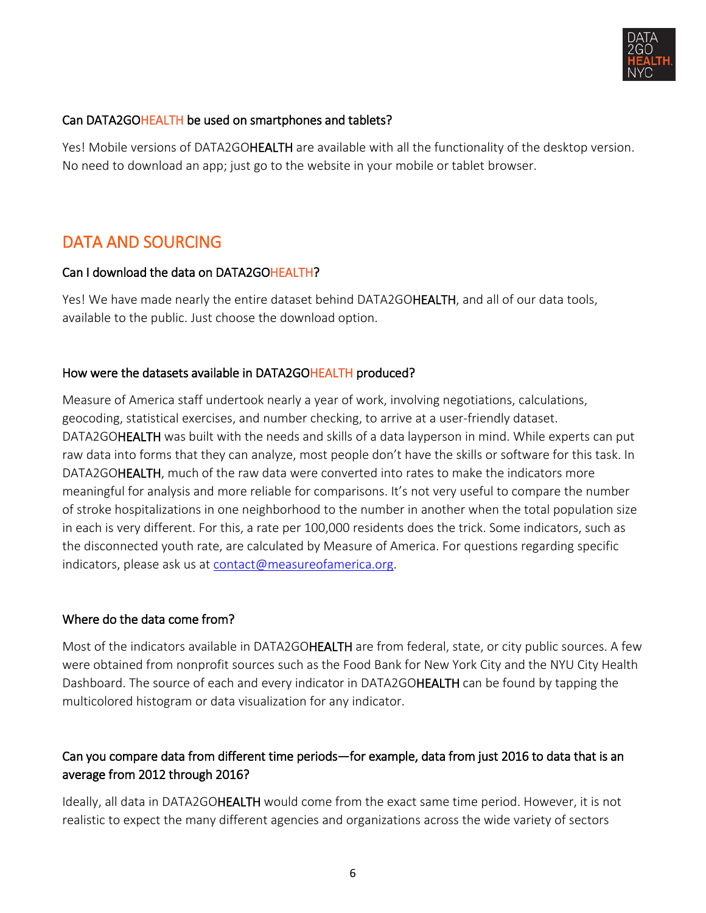

## Can DATA2GOHEALTH be used on smartphones and tablets?

Yes! Mobile versions of DATA2GOHEALTH are available with all the functionality of the desktop version. No need to download an app; just go to the website in your mobile or tablet browser.

## <span id="page-5-0"></span>DATA AND SOURCING

### Can I download the data on DATA2GOHEALTH?

Yes! We have made nearly the entire dataset behind DATA2GOHEALTH, and all of our data tools, available to the public. Just choose the download option.

## How were the datasets available in DATA2GOHEALTH produced?

Measure of America staff undertook nearly a year of work, involving negotiations, calculations, geocoding, statistical exercises, and number checking, to arrive at a user-friendly dataset. DATA2GOHEALTH was built with the needs and skills of a data layperson in mind. While experts can put raw data into forms that they can analyze, most people don't have the skills or software for this task. In DATA2GO**HEALTH**, much of the raw data were converted into rates to make the indicators more meaningful for analysis and more reliable for comparisons. It's not very useful to compare the number of stroke hospitalizations in one neighborhood to the number in another when the total population size in each is very different. For this, a rate per 100,000 residents does the trick. Some indicators, such as the disconnected youth rate, are calculated by Measure of America. For questions regarding specific indicators, please ask us at [contact@measureofamerica.org.](mailto:contact@measureofamerica.org)

## Where do the data come from?

Most of the indicators available in DATA2GOHEALTH are from federal, state, or city public sources. A few were obtained from nonprofit sources such as the Food Bank for New York City and the NYU City Health Dashboard. The source of each and every indicator in DATA2GOHEALTH can be found by tapping the multicolored histogram or data visualization for any indicator.

## Can you compare data from different time periods—for example, data from just 2016 to data that is an average from 2012 through 2016?

Ideally, all data in DATA2GOHEALTH would come from the exact same time period. However, it is not realistic to expect the many different agencies and organizations across the wide variety of sectors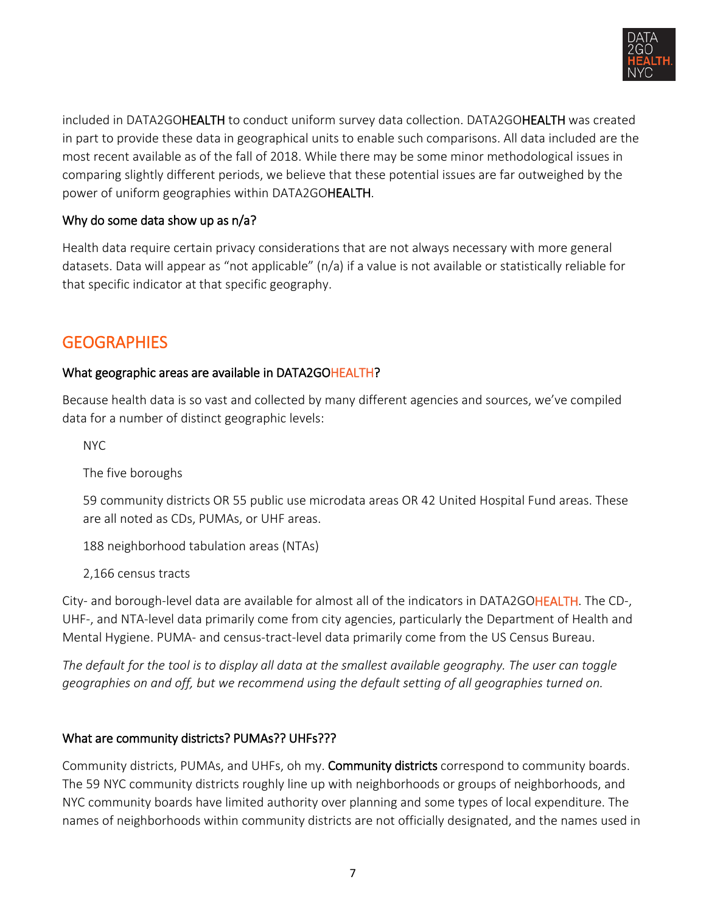

included in DATA2GOHEALTH to conduct uniform survey data collection. DATA2GOHEALTH was created in part to provide these data in geographical units to enable such comparisons. All data included are the most recent available as of the fall of 2018. While there may be some minor methodological issues in comparing slightly different periods, we believe that these potential issues are far outweighed by the power of uniform geographies within DATA2GOHEALTH.

## Why do some data show up as n/a?

Health data require certain privacy considerations that are not always necessary with more general datasets. Data will appear as "not applicable" (n/a) if a value is not available or statistically reliable for that specific indicator at that specific geography.

## <span id="page-6-0"></span>**GEOGRAPHIES**

## What geographic areas are available in DATA2GOHEALTH?

Because health data is so vast and collected by many different agencies and sources, we've compiled data for a number of distinct geographic levels:

NYC

The five boroughs

59 community districts OR 55 public use microdata areas OR 42 United Hospital Fund areas. These are all noted as CDs, PUMAs, or UHF areas.

188 neighborhood tabulation areas (NTAs)

2,166 census tracts

City- and borough-level data are available for almost all of the indicators in DATA2GOHEALTH. The CD-, UHF-, and NTA-level data primarily come from city agencies, particularly the Department of Health and Mental Hygiene. PUMA- and census-tract-level data primarily come from the US Census Bureau.

*The default for the tool is to display all data at the smallest available geography. The user can toggle geographies on and off, but we recommend using the default setting of all geographies turned on.* 

## What are community districts? PUMAs?? UHFs???

Community districts, PUMAs, and UHFs, oh my. Community districts correspond to community boards. The 59 NYC community districts roughly line up with neighborhoods or groups of neighborhoods, and NYC community boards have limited authority over planning and some types of local expenditure. The names of neighborhoods within community districts are not officially designated, and the names used in